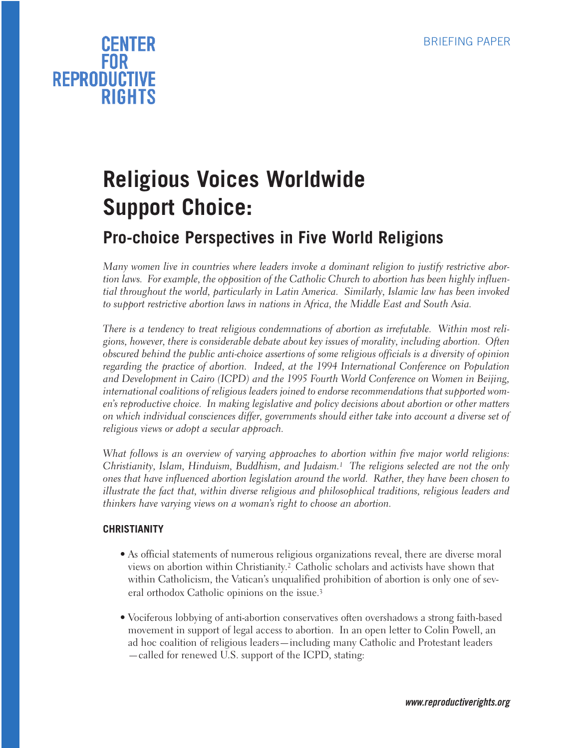

## **Religious Voices Worldwide Support Choice:**

### **Pro-choice Perspectives in Five World Religions**

*Many women live in countries where leaders invoke a dominant religion to justify restrictive abortion laws. For example, the opposition of the Catholic Church to abortion has been highly influential throughout the world, particularly in Latin America. Similarly, Islamic law has been invoked to support restrictive abortion laws in nations in Africa, the Middle East and South Asia.*

*There is a tendency to treat religious condemnations of abortion as irrefutable. Within most religions, however, there is considerable debate about key issues of morality, including abortion. Often obscured behind the public anti-choice assertions of some religious officials is a diversity of opinion regarding the practice of abortion. Indeed, at the 1994 International Conference on Population and Development in Cairo (ICPD) and the 1995 Fourth World Conference on Women in Beijing, international coalitions of religious leaders joined to endorse recommendations that supported women's reproductive choice. In making legislative and policy decisions about abortion or other matters on which individual consciences differ, governments should either take into account a diverse set of religious views or adopt a secular approach.*

*What follows is an overview of varying approaches to abortion within five major world religions: Christianity, Islam, Hinduism, Buddhism, and Judaism.1 The religions selected are not the only ones that have influenced abortion legislation around the world. Rather, they have been chosen to illustrate the fact that, within diverse religious and philosophical traditions, religious leaders and thinkers have varying views on a woman's right to choose an abortion.*

#### **CHRISTIANITY**

- As official statements of numerous religious organizations reveal, there are diverse moral views on abortion within Christianity.2 Catholic scholars and activists have shown that within Catholicism, the Vatican's unqualified prohibition of abortion is only one of several orthodox Catholic opinions on the issue.3
- Vociferous lobbying of anti-abortion conservatives often overshadows a strong faith-based movement in support of legal access to abortion. In an open letter to Colin Powell, an ad hoc coalition of religious leaders—including many Catholic and Protestant leaders —called for renewed U.S. support of the ICPD, stating: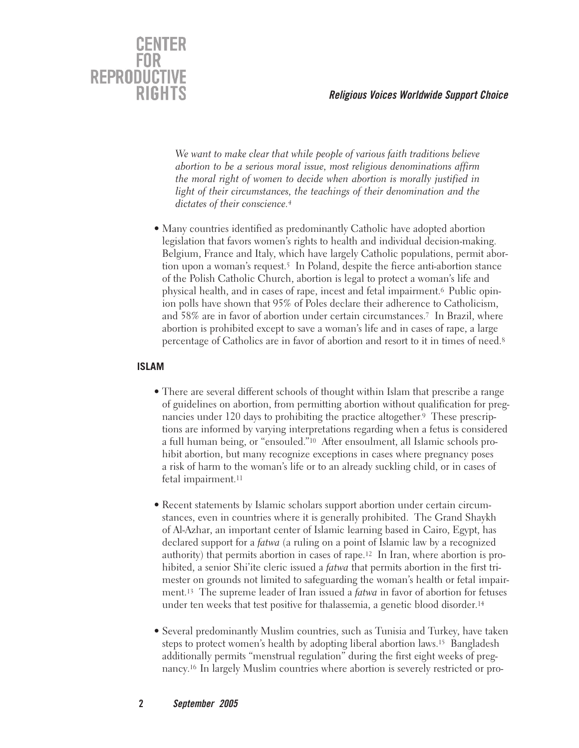

*We want to make clear that while people of various faith traditions believe abortion to be a serious moral issue, most religious denominations affirm the moral right of women to decide when abortion is morally justified in light of their circumstances, the teachings of their denomination and the dictates of their conscience.4*

• Many countries identified as predominantly Catholic have adopted abortion legislation that favors women's rights to health and individual decision-making. Belgium, France and Italy, which have largely Catholic populations, permit abortion upon a woman's request.<sup>5</sup> In Poland, despite the fierce anti-abortion stance of the Polish Catholic Church, abortion is legal to protect a woman's life and physical health, and in cases of rape, incest and fetal impairment.6 Public opinion polls have shown that 95% of Poles declare their adherence to Catholicism, and 58% are in favor of abortion under certain circumstances.7 In Brazil, where abortion is prohibited except to save a woman's life and in cases of rape, a large percentage of Catholics are in favor of abortion and resort to it in times of need.8

#### **ISLAM**

- There are several different schools of thought within Islam that prescribe a range of guidelines on abortion, from permitting abortion without qualification for pregnancies under 120 days to prohibiting the practice altogether. 9 These prescriptions are informed by varying interpretations regarding when a fetus is considered a full human being, or "ensouled."10 After ensoulment, all Islamic schools prohibit abortion, but many recognize exceptions in cases where pregnancy poses a risk of harm to the woman's life or to an already suckling child, or in cases of fetal impairment.11
- Recent statements by Islamic scholars support abortion under certain circumstances, even in countries where it is generally prohibited. The Grand Shaykh of Al-Azhar, an important center of Islamic learning based in Cairo, Egypt, has declared support for a *fatwa* (a ruling on a point of Islamic law by a recognized authority) that permits abortion in cases of rape.12 In Iran, where abortion is prohibited, a senior Shi'ite cleric issued a *fatwa* that permits abortion in the first trimester on grounds not limited to safeguarding the woman's health or fetal impairment.13 The supreme leader of Iran issued a *fatwa* in favor of abortion for fetuses under ten weeks that test positive for thalassemia, a genetic blood disorder.14
- Several predominantly Muslim countries, such as Tunisia and Turkey, have taken steps to protect women's health by adopting liberal abortion laws.15 Bangladesh additionally permits "menstrual regulation" during the first eight weeks of pregnancy.16 In largely Muslim countries where abortion is severely restricted or pro-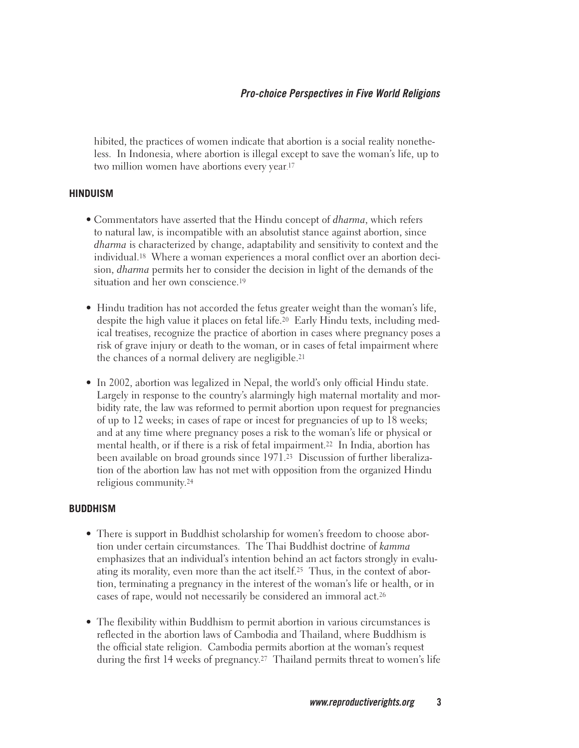hibited, the practices of women indicate that abortion is a social reality nonetheless. In Indonesia, where abortion is illegal except to save the woman's life, up to two million women have abortions every year. 17

#### **HINDUISM**

- Commentators have asserted that the Hindu concept of *dharma*, which refers to natural law, is incompatible with an absolutist stance against abortion, since *dharma* is characterized by change, adaptability and sensitivity to context and the individual.18 Where a woman experiences a moral conflict over an abortion decision, *dharma* permits her to consider the decision in light of the demands of the situation and her own conscience.<sup>19</sup>
- Hindu tradition has not accorded the fetus greater weight than the woman's life, despite the high value it places on fetal life.20 Early Hindu texts, including medical treatises, recognize the practice of abortion in cases where pregnancy poses a risk of grave injury or death to the woman, or in cases of fetal impairment where the chances of a normal delivery are negligible.21
- In 2002, abortion was legalized in Nepal, the world's only official Hindu state. Largely in response to the country's alarmingly high maternal mortality and morbidity rate, the law was reformed to permit abortion upon request for pregnancies of up to 12 weeks; in cases of rape or incest for pregnancies of up to 18 weeks; and at any time where pregnancy poses a risk to the woman's life or physical or mental health, or if there is a risk of fetal impairment.22 In India, abortion has been available on broad grounds since 1971.23 Discussion of further liberalization of the abortion law has not met with opposition from the organized Hindu religious community.24

#### **BUDDHISM**

- There is support in Buddhist scholarship for women's freedom to choose abortion under certain circumstances. The Thai Buddhist doctrine of *kamma* emphasizes that an individual's intention behind an act factors strongly in evaluating its morality, even more than the act itself.25 Thus, in the context of abortion, terminating a pregnancy in the interest of the woman's life or health, or in cases of rape, would not necessarily be considered an immoral act.26
- The flexibility within Buddhism to permit abortion in various circumstances is reflected in the abortion laws of Cambodia and Thailand, where Buddhism is the official state religion. Cambodia permits abortion at the woman's request during the first 14 weeks of pregnancy.27 Thailand permits threat to women's life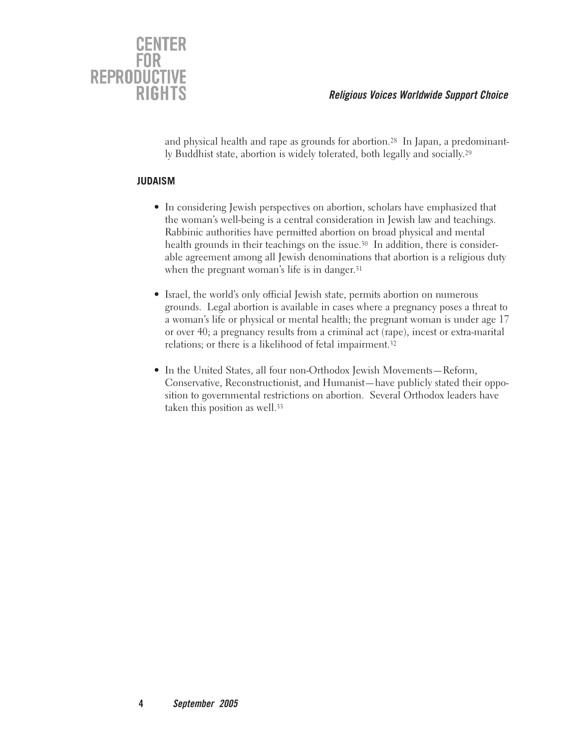

and physical health and rape as grounds for abortion.28 In Japan, a predominantly Buddhist state, abortion is widely tolerated, both legally and socially.29

#### **JUDAISM**

- In considering Jewish perspectives on abortion, scholars have emphasized that the woman's well-being is a central consideration in Jewish law and teachings. Rabbinic authorities have permitted abortion on broad physical and mental health grounds in their teachings on the issue.<sup>30</sup> In addition, there is considerable agreement among all Jewish denominations that abortion is a religious duty when the pregnant woman's life is in danger.<sup>31</sup>
- Israel, the world's only official Jewish state, permits abortion on numerous grounds. Legal abortion is available in cases where a pregnancy poses a threat to a woman's life or physical or mental health; the pregnant woman is under age 17 or over 40; a pregnancy results from a criminal act (rape), incest or extra-marital relations; or there is a likelihood of fetal impairment.32
- In the United States, all four non-Orthodox Jewish Movements—Reform, Conservative, Reconstructionist, and Humanist—have publicly stated their opposition to governmental restrictions on abortion. Several Orthodox leaders have taken this position as well.<sup>33</sup>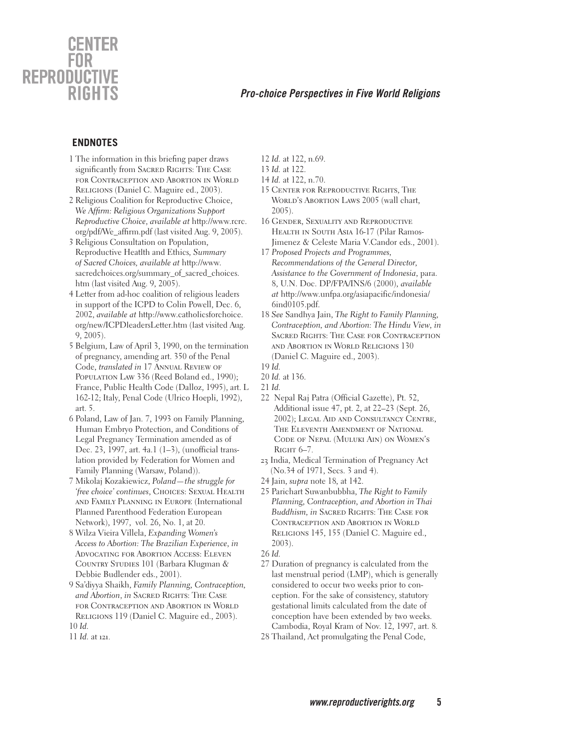### CENTER **REPRODUCTIVE RIGHTS**

#### **Pro-choice Perspectives in Five World Religions**

#### **ENDNOTES**

- 1 The information in this briefing paper draws significantly from SACRED RIGHTS: THE CASE for Contraception and Abortion in World Religions (Daniel C. Maguire ed., 2003).
- 2 Religious Coalition for Reproductive Choice, *We Affi rm: Religious Organizations Support Reproductive Choice*, *available at* http://www.rcrc. org/pdf/We\_affirm.pdf (last visited Aug. 9, 2005).
- *3* Religious Consultation on Population, Reproductive Heatlth and Ethics*, Summary of Sacred Choices, available at* http://www. sacredchoices.org/summary\_of\_sacred\_choices. htm (last visited Aug. 9, 2005).
- 4 Letter from ad-hoc coalition of religious leaders in support of the ICPD to Colin Powell, Dec. 6, 2002, *available at* http://www.catholicsforchoice. org/new/ICPDleadersLetter.htm (last visited Aug. 9, 2005).
- 5 Belgium, Law of April 3, 1990, on the termination of pregnancy, amending art. 350 of the Penal Code, *translated in* 17 Annual Review of POPULATION LAW 336 (Reed Boland ed., 1990); France, Public Health Code (Dalloz, 1995), art. L 162-12; Italy, Penal Code (Ulrico Hoepli, 1992), art. 5.
- 6 Poland, Law of Jan. 7, 1993 on Family Planning, Human Embryo Protection, and Conditions of Legal Pregnancy Termination amended as of Dec. 23, 1997, art. 4a.1 (1–3), (unofficial translation provided by Federation for Women and Family Planning (Warsaw, Poland)).
- 7 Mikolaj Kozakiewicz, *Poland—the struggle for 'free choice' continues*, CHOICES: SEXUAL HEALTH and Family Planning in Europe (International Planned Parenthood Federation European Network), 1997, vol. 26, No. 1, at 20.
- 8 Wilza Vieira Villela, *Expanding Women's Access to Abortion: The Brazilian Experience*, *in* Advocating for Abortion Access: Eleven COUNTRY STUDIES 101 (Barbara Klugman & Debbie Budlender eds., 2001).
- 9 Sa'diyya Shaikh, *Family Planning, Contraception,*  and Abortion, *in* SACRED RIGHTS: THE CASE for Contraception and Abortion in World RELIGIONS 119 (Daniel C. Maguire ed., 2003). 10 *Id.*
- 11 *Id.* at 121.
- 12 *Id.* at 122, n.69.
- 13 *Id.* at 122.
- 14 *Id.* at 122, n.70.
- 15 Center for Reproductive Rights, The WORLD'S ABORTION LAWS 2005 (wall chart, 2005).
- 16 Gender, Sexuality and Reproductive HEALTH IN SOUTH ASIA 16-17 (Pilar Ramos-Jimenez & Celeste Maria V.Candor eds., 2001).
- 17 *Proposed Projects and Programmes, Recommendations of the General Director, Assistance to the Government of Indonesia*, para. 8, U.N. Doc. DP/FPA/INS/6 (2000), *available at* http://www.unfpa.org/asiapacific/indonesia/ 6ind0105.pdf.
- 18 *See* Sandhya Jain, *The Right to Family Planning, Contraception, and Abortion: The Hindu View, in*  Sacred Rights: The Case for Contraception and Abortion in World Religions 130 (Daniel C. Maguire ed., 2003).

- 20 *Id.* at 136.
- 21 *Id.*
- 22 Nepal Raj Patra (Official Gazette), Pt. 52, Additional issue 47, pt. 2, at 22–23 (Sept. 26, 2002); Legal Aid and Consultancy Centre, THE ELEVENTH AMENDMENT OF NATIONAL Code of Nepal (Muluki Ain) on Women's RIGHT 6-7.
- 23 India, Medical Termination of Pregnancy Act (No.34 of 1971, Secs. 3 and 4).
- 24 Jain, *supra* note 18*,* at 142.
- 25 Parichart Suwanbubbha, *The Right to Family Planning, Contraception, and Abortion in Thai Buddhism, in* Sacred Rights: The Case for Contraception and Abortion in World Religions 145, 155 (Daniel C. Maguire ed., 2003).

- 27 Duration of pregnancy is calculated from the last menstrual period (LMP), which is generally considered to occur two weeks prior to conception. For the sake of consistency, statutory gestational limits calculated from the date of conception have been extended by two weeks. Cambodia, Royal Kram of Nov. 12, 1997, art. 8*.*
- 28 Thailand, Act promulgating the Penal Code,

<sup>19</sup> *Id.*

<sup>26</sup> *Id.*